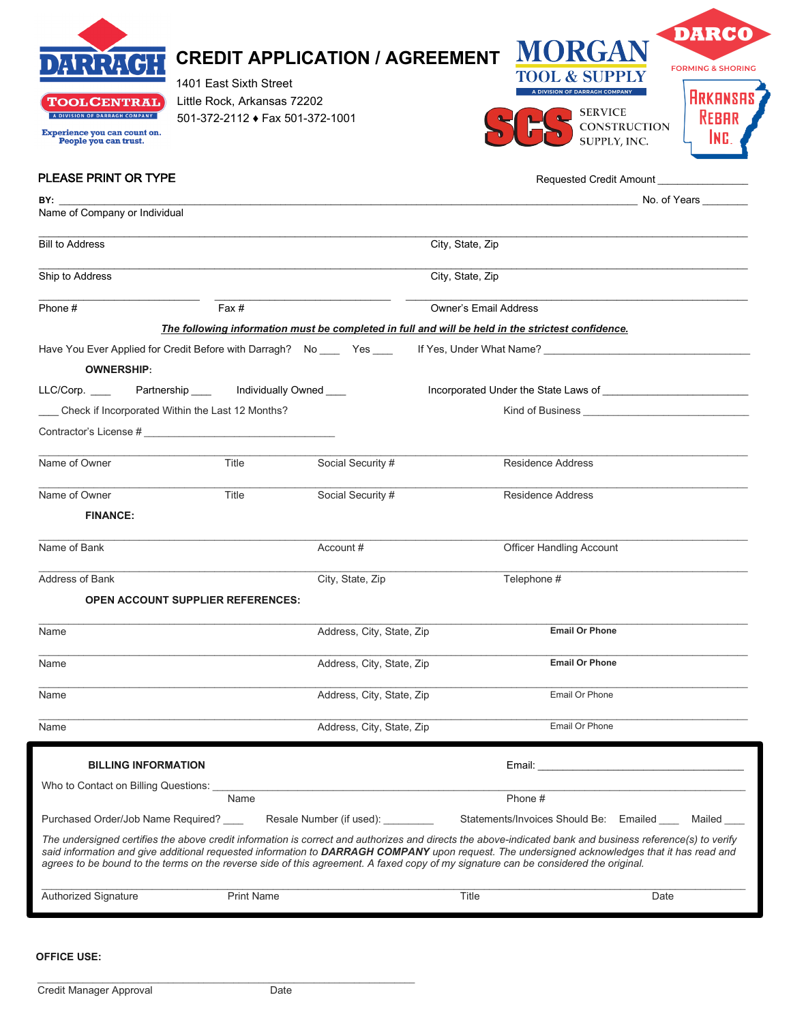| <b>'OOLCENTRAL</b><br>A DIVISION OF DARRAGH COMPANY<br><b>Experience you can count on.</b><br>People you can trust.<br>PLEASE PRINT OR TYPE                                                                                    | 1401 East Sixth Street<br>Little Rock, Arkansas 72202<br>501-372-2112 ♦ Fax 501-372-1001 | <b>CREDIT APPLICATION / AGREEMENT</b>                                                             |                              | MORGAN<br><b>TOOL &amp; SUPPLY</b><br>A DIVISION OF DARRAGH COMPANY<br><b>SERVICE</b><br><b>CONSTRUCTION</b><br>SUPPLY, INC.<br>Requested Credit Amount                                                                                                                                                    | <b>DARCO</b><br><b>FORMING &amp; SHORING</b><br><b>ARKANSA</b><br><b>REBAR</b> |
|--------------------------------------------------------------------------------------------------------------------------------------------------------------------------------------------------------------------------------|------------------------------------------------------------------------------------------|---------------------------------------------------------------------------------------------------|------------------------------|------------------------------------------------------------------------------------------------------------------------------------------------------------------------------------------------------------------------------------------------------------------------------------------------------------|--------------------------------------------------------------------------------|
| BY: the contract of the contract of the contract of the contract of the contract of the contract of the contract of the contract of the contract of the contract of the contract of the contract of the contract of the contra |                                                                                          |                                                                                                   |                              |                                                                                                                                                                                                                                                                                                            | No. of Years                                                                   |
| Name of Company or Individual                                                                                                                                                                                                  |                                                                                          |                                                                                                   |                              |                                                                                                                                                                                                                                                                                                            |                                                                                |
| City, State, Zip<br><b>Bill to Address</b>                                                                                                                                                                                     |                                                                                          |                                                                                                   |                              |                                                                                                                                                                                                                                                                                                            |                                                                                |
| Ship to Address                                                                                                                                                                                                                |                                                                                          |                                                                                                   | City, State, Zip             |                                                                                                                                                                                                                                                                                                            |                                                                                |
| Phone #                                                                                                                                                                                                                        | Fax#                                                                                     |                                                                                                   | <b>Owner's Email Address</b> |                                                                                                                                                                                                                                                                                                            |                                                                                |
|                                                                                                                                                                                                                                |                                                                                          | The following information must be completed in full and will be held in the strictest confidence. |                              |                                                                                                                                                                                                                                                                                                            |                                                                                |
| <b>OWNERSHIP:</b>                                                                                                                                                                                                              |                                                                                          |                                                                                                   |                              |                                                                                                                                                                                                                                                                                                            |                                                                                |
| LLC/Corp. _____ Partnership ____ Individually Owned ____                                                                                                                                                                       |                                                                                          |                                                                                                   |                              |                                                                                                                                                                                                                                                                                                            |                                                                                |
| _ Check if Incorporated Within the Last 12 Months?                                                                                                                                                                             |                                                                                          |                                                                                                   |                              | Kind of Business and the state of Business                                                                                                                                                                                                                                                                 |                                                                                |
|                                                                                                                                                                                                                                |                                                                                          |                                                                                                   |                              |                                                                                                                                                                                                                                                                                                            |                                                                                |
| Name of Owner                                                                                                                                                                                                                  | Title                                                                                    | Social Security #                                                                                 |                              | <b>Residence Address</b>                                                                                                                                                                                                                                                                                   |                                                                                |
| Name of Owner                                                                                                                                                                                                                  | Title                                                                                    | Social Security #                                                                                 |                              | <b>Residence Address</b>                                                                                                                                                                                                                                                                                   |                                                                                |
| <b>FINANCE:</b>                                                                                                                                                                                                                |                                                                                          |                                                                                                   |                              |                                                                                                                                                                                                                                                                                                            |                                                                                |
| Name of Bank                                                                                                                                                                                                                   |                                                                                          | Account #                                                                                         |                              | <b>Officer Handling Account</b>                                                                                                                                                                                                                                                                            |                                                                                |
| Address of Bank                                                                                                                                                                                                                |                                                                                          | City, State, Zip                                                                                  |                              | Telephone #                                                                                                                                                                                                                                                                                                |                                                                                |
|                                                                                                                                                                                                                                | <b>OPEN ACCOUNT SUPPLIER REFERENCES:</b>                                                 |                                                                                                   |                              |                                                                                                                                                                                                                                                                                                            |                                                                                |
| Name                                                                                                                                                                                                                           |                                                                                          | Address, City, State, Zip                                                                         |                              | <b>Email Or Phone</b>                                                                                                                                                                                                                                                                                      |                                                                                |
| Name                                                                                                                                                                                                                           |                                                                                          | Address, City, State, Zip                                                                         |                              | <b>Email Or Phone</b>                                                                                                                                                                                                                                                                                      |                                                                                |
| Name                                                                                                                                                                                                                           |                                                                                          | Address, City, State, Zip                                                                         |                              | Email Or Phone                                                                                                                                                                                                                                                                                             |                                                                                |
| Name                                                                                                                                                                                                                           |                                                                                          | Address, City, State, Zip                                                                         |                              | Email Or Phone                                                                                                                                                                                                                                                                                             |                                                                                |
|                                                                                                                                                                                                                                |                                                                                          |                                                                                                   |                              |                                                                                                                                                                                                                                                                                                            |                                                                                |
| <b>BILLING INFORMATION</b>                                                                                                                                                                                                     |                                                                                          |                                                                                                   |                              |                                                                                                                                                                                                                                                                                                            |                                                                                |
| Who to Contact on Billing Questions:                                                                                                                                                                                           | Name                                                                                     |                                                                                                   |                              | Phone #                                                                                                                                                                                                                                                                                                    |                                                                                |
| Purchased Order/Job Name Required?                                                                                                                                                                                             |                                                                                          | Resale Number (if used):                                                                          |                              | Statements/Invoices Should Be: Emailed                                                                                                                                                                                                                                                                     | Mailed                                                                         |
| agrees to be bound to the terms on the reverse side of this agreement. A faxed copy of my signature can be considered the original.                                                                                            |                                                                                          |                                                                                                   |                              | The undersigned certifies the above credit information is correct and authorizes and directs the above-indicated bank and business reference(s) to verify<br>said information and give additional requested information to DARRAGH COMPANY upon request. The undersigned acknowledges that it has read and |                                                                                |
| Authorized Signature                                                                                                                                                                                                           | <b>Print Name</b>                                                                        |                                                                                                   | Title                        | Date                                                                                                                                                                                                                                                                                                       |                                                                                |

### **OFFICE USE:**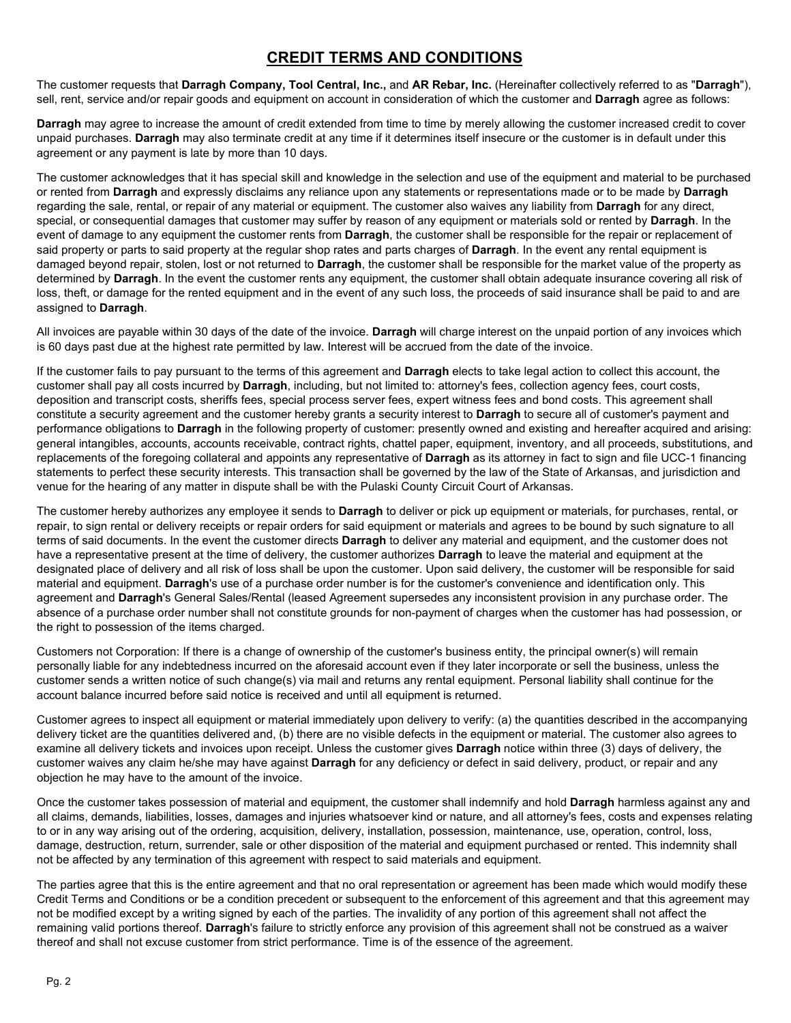## **CREDIT TERMS AND CONDITIONS**

The customer requests that **Darragh Company, Tool Central, Inc.,** and **AR Rebar, Inc.** (Hereinafter collectively referred to as "**Darragh**"), sell, rent, service and/or repair goods and equipment on account in consideration of which the customer and **Darragh** agree as follows:

**Darragh** may agree to increase the amount of credit extended from time to time by merely allowing the customer increased credit to cover unpaid purchases. **Darragh** may also terminate credit at any time if it determines itself insecure or the customer is in default under this agreement or any payment is late by more than 10 days.

The customer acknowledges that it has special skill and knowledge in the selection and use of the equipment and material to be purchased or rented from **Darragh** and expressly disclaims any reliance upon any statements or representations made or to be made by **Darragh** regarding the sale, rental, or repair of any material or equipment. The customer also waives any liability from **Darragh** for any direct, special, or consequential damages that customer may suffer by reason of any equipment or materials sold or rented by **Darragh**. In the event of damage to any equipment the customer rents from **Darragh**, the customer shall be responsible for the repair or replacement of said property or parts to said property at the regular shop rates and parts charges of **Darragh**. In the event any rental equipment is damaged beyond repair, stolen, lost or not returned to **Darragh**, the customer shall be responsible for the market value of the property as determined by **Darragh**. In the event the customer rents any equipment, the customer shall obtain adequate insurance covering all risk of loss, theft, or damage for the rented equipment and in the event of any such loss, the proceeds of said insurance shall be paid to and are assigned to **Darragh**.

All invoices are payable within 30 days of the date of the invoice. **Darragh** will charge interest on the unpaid portion of any invoices which is 60 days past due at the highest rate permitted by law. Interest will be accrued from the date of the invoice.

If the customer fails to pay pursuant to the terms of this agreement and **Darragh** elects to take legal action to collect this account, the customer shall pay all costs incurred by **Darragh**, including, but not limited to: attorney's fees, collection agency fees, court costs, deposition and transcript costs, sheriffs fees, special process server fees, expert witness fees and bond costs. This agreement shall constitute a security agreement and the customer hereby grants a security interest to **Darragh** to secure all of customer's payment and performance obligations to **Darragh** in the following property of customer: presently owned and existing and hereafter acquired and arising: general intangibles, accounts, accounts receivable, contract rights, chattel paper, equipment, inventory, and all proceeds, substitutions, and replacements of the foregoing collateral and appoints any representative of **Darragh** as its attorney in fact to sign and file UCC-1 financing statements to perfect these security interests. This transaction shall be governed by the law of the State of Arkansas, and jurisdiction and venue for the hearing of any matter in dispute shall be with the Pulaski County Circuit Court of Arkansas.

The customer hereby authorizes any employee it sends to **Darragh** to deliver or pick up equipment or materials, for purchases, rental, or repair, to sign rental or delivery receipts or repair orders for said equipment or materials and agrees to be bound by such signature to all terms of said documents. In the event the customer directs **Darragh** to deliver any material and equipment, and the customer does not have a representative present at the time of delivery, the customer authorizes **Darragh** to leave the material and equipment at the designated place of delivery and all risk of loss shall be upon the customer. Upon said delivery, the customer will be responsible for said material and equipment. **Darragh**'s use of a purchase order number is for the customer's convenience and identification only. This agreement and **Darragh**'s General Sales/Rental (leased Agreement supersedes any inconsistent provision in any purchase order. The absence of a purchase order number shall not constitute grounds for non-payment of charges when the customer has had possession, or the right to possession of the items charged.

Customers not Corporation: If there is a change of ownership of the customer's business entity, the principal owner(s) will remain personally liable for any indebtedness incurred on the aforesaid account even if they later incorporate or sell the business, unless the customer sends a written notice of such change(s) via mail and returns any rental equipment. Personal liability shall continue for the account balance incurred before said notice is received and until all equipment is returned.

Customer agrees to inspect all equipment or material immediately upon delivery to verify: (a) the quantities described in the accompanying delivery ticket are the quantities delivered and, (b) there are no visible defects in the equipment or material. The customer also agrees to examine all delivery tickets and invoices upon receipt. Unless the customer gives **Darragh** notice within three (3) days of delivery, the customer waives any claim he/she may have against **Darragh** for any deficiency or defect in said delivery, product, or repair and any objection he may have to the amount of the invoice.

Once the customer takes possession of material and equipment, the customer shall indemnify and hold **Darragh** harmless against any and all claims, demands, liabilities, losses, damages and injuries whatsoever kind or nature, and all attorney's fees, costs and expenses relating to or in any way arising out of the ordering, acquisition, delivery, installation, possession, maintenance, use, operation, control, loss, damage, destruction, return, surrender, sale or other disposition of the material and equipment purchased or rented. This indemnity shall not be affected by any termination of this agreement with respect to said materials and equipment.

The parties agree that this is the entire agreement and that no oral representation or agreement has been made which would modify these Credit Terms and Conditions or be a condition precedent or subsequent to the enforcement of this agreement and that this agreement may not be modified except by a writing signed by each of the parties. The invalidity of any portion of this agreement shall not affect the remaining valid portions thereof. **Darragh**'s failure to strictly enforce any provision of this agreement shall not be construed as a waiver thereof and shall not excuse customer from strict performance. Time is of the essence of the agreement.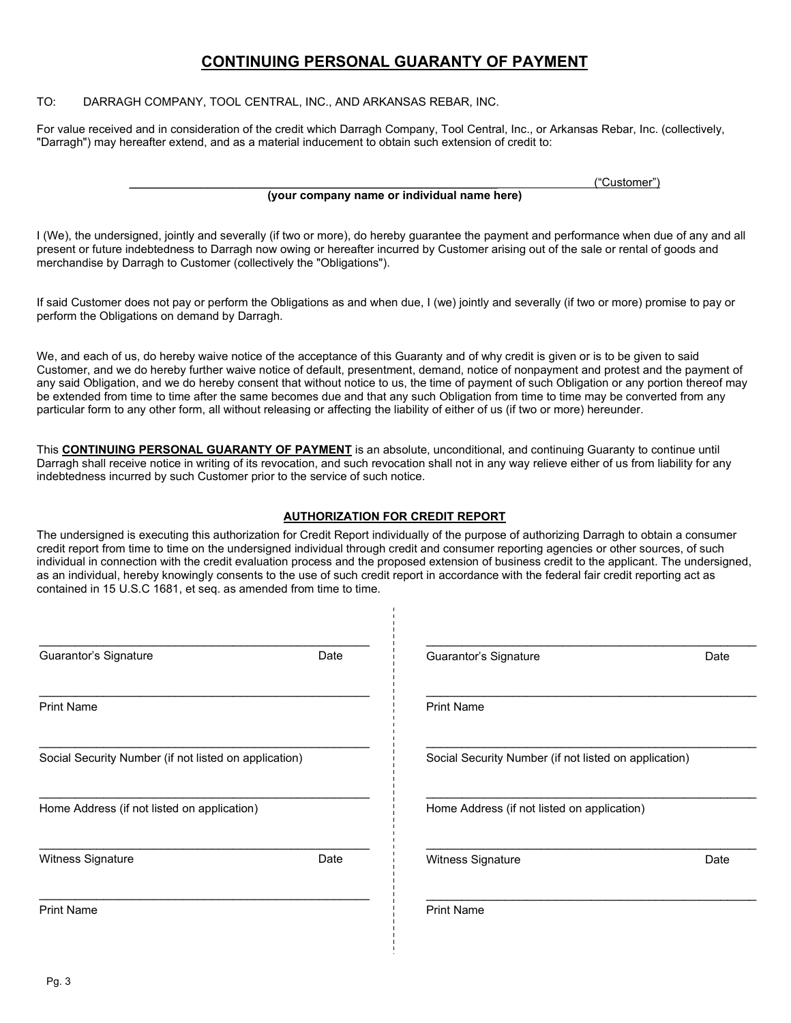## **CONTINUING PERSONAL GUARANTY OF PAYMENT**

TO: DARRAGH COMPANY, TOOL CENTRAL, INC., AND ARKANSAS REBAR, INC.

For value received and in consideration of the credit which Darragh Company, Tool Central, Inc., or Arkansas Rebar, Inc. (collectively, "Darragh") may hereafter extend, and as a material inducement to obtain such extension of credit to:

\_\_\_\_\_\_\_\_\_\_\_\_\_\_\_\_\_\_\_\_\_\_\_\_\_\_\_\_\_\_\_\_\_\_\_\_\_\_\_\_\_\_\_\_\_\_\_\_\_\_\_\_\_\_\_\_\_ ("Customer")

#### **(your company name or individual name here)**

I (We), the undersigned, jointly and severally (if two or more), do hereby guarantee the payment and performance when due of any and all present or future indebtedness to Darragh now owing or hereafter incurred by Customer arising out of the sale or rental of goods and merchandise by Darragh to Customer (collectively the "Obligations").

If said Customer does not pay or perform the Obligations as and when due, I (we) jointly and severally (if two or more) promise to pay or perform the Obligations on demand by Darragh.

We, and each of us, do hereby waive notice of the acceptance of this Guaranty and of why credit is given or is to be given to said Customer, and we do hereby further waive notice of default, presentment, demand, notice of nonpayment and protest and the payment of any said Obligation, and we do hereby consent that without notice to us, the time of payment of such Obligation or any portion thereof may be extended from time to time after the same becomes due and that any such Obligation from time to time may be converted from any particular form to any other form, all without releasing or affecting the liability of either of us (if two or more) hereunder.

This **CONTINUING PERSONAL GUARANTY OF PAYMENT** is an absolute, unconditional, and continuing Guaranty to continue until Darragh shall receive notice in writing of its revocation, and such revocation shall not in any way relieve either of us from liability for any indebtedness incurred by such Customer prior to the service of such notice.

### **AUTHORIZATION FOR CREDIT REPORT**

The undersigned is executing this authorization for Credit Report individually of the purpose of authorizing Darragh to obtain a consumer credit report from time to time on the undersigned individual through credit and consumer reporting agencies or other sources, of such individual in connection with the credit evaluation process and the proposed extension of business credit to the applicant. The undersigned, as an individual, hereby knowingly consents to the use of such credit report in accordance with the federal fair credit reporting act as contained in 15 U.S.C 1681, et seq. as amended from time to time.

 $\frac{1}{1}$ 

| Guarantor's Signature                                 | Date | Guarantor's Signature                                 | Date |  |
|-------------------------------------------------------|------|-------------------------------------------------------|------|--|
| <b>Print Name</b>                                     |      | <b>Print Name</b>                                     |      |  |
| Social Security Number (if not listed on application) |      | Social Security Number (if not listed on application) |      |  |
| Home Address (if not listed on application)           |      | Home Address (if not listed on application)           |      |  |
| Witness Signature                                     | Date | Witness Signature                                     | Date |  |
| <b>Print Name</b>                                     |      | <b>Print Name</b>                                     |      |  |